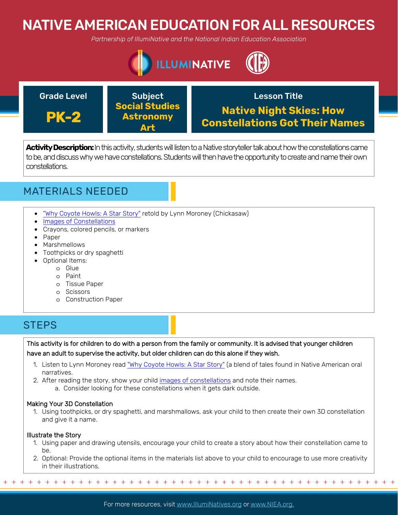# NATIVE AMERICAN EDUCATION FOR ALL RESOURCES

*Partnership of IllumiNative and the National Indian Education Association*



## Grade Level **Construct Construct Construct** Lesson Title

**PK-2**

Subject **Social Studies Astronomy Art**

# **Native Night Skies: How Constellations Got Their Names**

**Activity Description:** In this activity, students will listen to a Native storyteller talk about how the constellations came to be, and discuss why we have constellations. Students will then have the opportunity to create and name their own constellations.



- ["Why Coyote Howls: A Star Story"](https://www.lpi.usra.edu/education/skytellers/constellations/preview/) retold by Lynn Moroney (Chickasaw)
- [Images of Constellations](https://www.space.com/23309-constellations-night-sky-star-patterns-images.html)
- Crayons, colored pencils, or markers
- Paper
- Marshmellows
- Toothpicks or dry spaghetti
- Optional Items:
	- o Glue
	- o Paint
	- o Tissue Paper
	- o Scissors
	- o Construction Paper

## **STEPS**

This activity is for children to do with a person from the family or community. It is advised that younger children have an adult to supervise the activity, but older children can do this alone if they wish.

- 1. Listen to Lynn Moroney read ["Why Coyote Howls: A Star Story"](https://www.lpi.usra.edu/education/skytellers/constellations/preview/) (a blend of tales found in Native American oral narratives.
- 2. After reading the story, show your child [images of constellations](https://www.space.com/23309-constellations-night-sky-star-patterns-images.html) and note their names.
	- a. Consider looking for these constellations when it gets dark outside.

### Making Your 3D Constellation

1. Using toothpicks, or dry spaghetti, and marshmallows, ask your child to then create their own 3D constellation and give it a name.

### Illustrate the Story

- 1. Using paper and drawing utensils, encourage your child to create a story about how their constellation came to be.
- 2. Optional: Provide the optional items in the materials list above to your child to encourage to use more creativity in their illustrations.

+ + + + + + + + + + + + + + + + + + + + + + + + + + + + + + + + + + + + + + + + + + + + + + + +